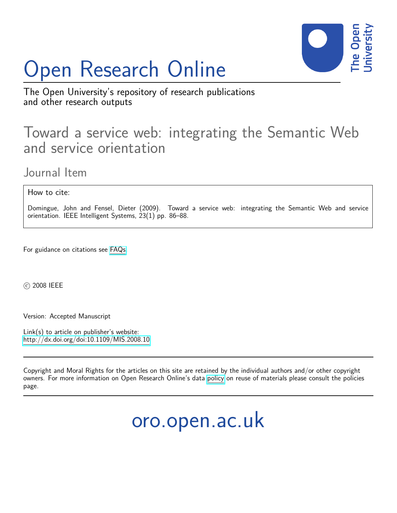# Open Research Online



The Open University's repository of research publications and other research outputs

# Toward a service web: integrating the Semantic Web and service orientation

Journal Item

How to cite:

Domingue, John and Fensel, Dieter (2009). Toward a service web: integrating the Semantic Web and service orientation. IEEE Intelligent Systems, 23(1) pp. 86–88.

For guidance on citations see [FAQs.](http://oro.open.ac.uk/help/helpfaq.html)

c 2008 IEEE

Version: Accepted Manuscript

Link(s) to article on publisher's website: <http://dx.doi.org/doi:10.1109/MIS.2008.10>

Copyright and Moral Rights for the articles on this site are retained by the individual authors and/or other copyright owners. For more information on Open Research Online's data [policy](http://oro.open.ac.uk/policies.html) on reuse of materials please consult the policies page.

oro.open.ac.uk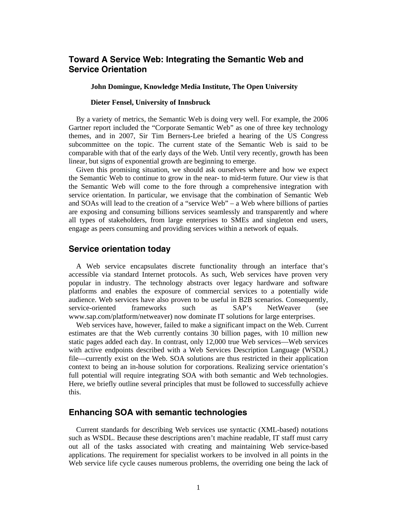# **Toward A Service Web: Integrating the Semantic Web and Service Orientation**

#### **John Domingue, Knowledge Media Institute, The Open University**

#### **Dieter Fensel, University of Innsbruck**

By a variety of metrics, the Semantic Web is doing very well. For example, the 2006 Gartner report included the "Corporate Semantic Web" as one of three key technology themes, and in 2007, Sir Tim Berners-Lee briefed a hearing of the US Congress subcommittee on the topic. The current state of the Semantic Web is said to be comparable with that of the early days of the Web. Until very recently, growth has been linear, but signs of exponential growth are beginning to emerge.

Given this promising situation, we should ask ourselves where and how we expect the Semantic Web to continue to grow in the near- to mid-term future. Our view is that the Semantic Web will come to the fore through a comprehensive integration with service orientation. In particular, we envisage that the combination of Semantic Web and SOAs will lead to the creation of a "service Web" – a Web where billions of parties are exposing and consuming billions services seamlessly and transparently and where all types of stakeholders, from large enterprises to SMEs and singleton end users, engage as peers consuming and providing services within a network of equals.

#### **Service orientation today**

A Web service encapsulates discrete functionality through an interface that's accessible via standard Internet protocols. As such, Web services have proven very popular in industry. The technology abstracts over legacy hardware and software platforms and enables the exposure of commercial services to a potentially wide audience. Web services have also proven to be useful in B2B scenarios. Consequently, service-oriented frameworks such as SAP's NetWeaver (see www.sap.com/platform/netweaver) now dominate IT solutions for large enterprises.

Web services have, however, failed to make a significant impact on the Web. Current estimates are that the Web currently contains 30 billion pages, with 10 million new static pages added each day. In contrast, only 12,000 true Web services—Web services with active endpoints described with a Web Services Description Language (WSDL) file—currently exist on the Web. SOA solutions are thus restricted in their application context to being an in-house solution for corporations. Realizing service orientation's full potential will require integrating SOA with both semantic and Web technologies. Here, we briefly outline several principles that must be followed to successfully achieve this.

#### **Enhancing SOA with semantic technologies**

Current standards for describing Web services use syntactic (XML-based) notations such as WSDL. Because these descriptions aren't machine readable, IT staff must carry out all of the tasks associated with creating and maintaining Web service-based applications. The requirement for specialist workers to be involved in all points in the Web service life cycle causes numerous problems, the overriding one being the lack of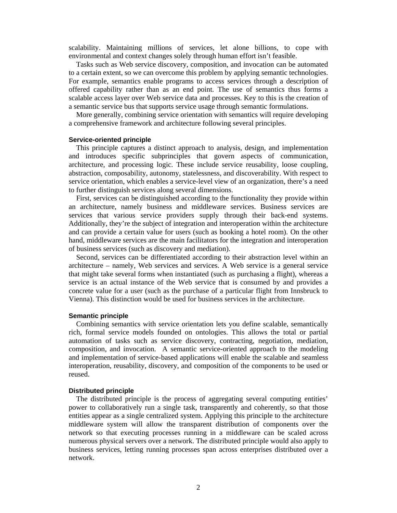scalability. Maintaining millions of services, let alone billions, to cope with environmental and context changes solely through human effort isn't feasible.

Tasks such as Web service discovery, composition, and invocation can be automated to a certain extent, so we can overcome this problem by applying semantic technologies. For example, semantics enable programs to access services through a description of offered capability rather than as an end point. The use of semantics thus forms a scalable access layer over Web service data and processes. Key to this is the creation of a semantic service bus that supports service usage through semantic formulations.

More generally, combining service orientation with semantics will require developing a comprehensive framework and architecture following several principles.

#### **Service-oriented principle**

This principle captures a distinct approach to analysis, design, and implementation and introduces specific subprinciples that govern aspects of communication, architecture, and processing logic. These include service reusability, loose coupling, abstraction, composability, autonomy, statelessness, and discoverability. With respect to service orientation, which enables a service-level view of an organization, there's a need to further distinguish services along several dimensions.

First, services can be distinguished according to the functionality they provide within an architecture, namely business and middleware services. Business services are services that various service providers supply through their back-end systems. Additionally, they're the subject of integration and interoperation within the architecture and can provide a certain value for users (such as booking a hotel room). On the other hand, middleware services are the main facilitators for the integration and interoperation of business services (such as discovery and mediation).

Second, services can be differentiated according to their abstraction level within an architecture – namely, Web services and services. A Web service is a general service that might take several forms when instantiated (such as purchasing a flight), whereas a service is an actual instance of the Web service that is consumed by and provides a concrete value for a user (such as the purchase of a particular flight from Innsbruck to Vienna). This distinction would be used for business services in the architecture.

#### **Semantic principle**

Combining semantics with service orientation lets you define scalable, semantically rich, formal service models founded on ontologies. This allows the total or partial automation of tasks such as service discovery, contracting, negotiation, mediation, composition, and invocation. A semantic service-oriented approach to the modeling and implementation of service-based applications will enable the scalable and seamless interoperation, reusability, discovery, and composition of the components to be used or reused.

#### **Distributed principle**

The distributed principle is the process of aggregating several computing entities' power to collaboratively run a single task, transparently and coherently, so that those entities appear as a single centralized system. Applying this principle to the architecture middleware system will allow the transparent distribution of components over the network so that executing processes running in a middleware can be scaled across numerous physical servers over a network. The distributed principle would also apply to business services, letting running processes span across enterprises distributed over a network.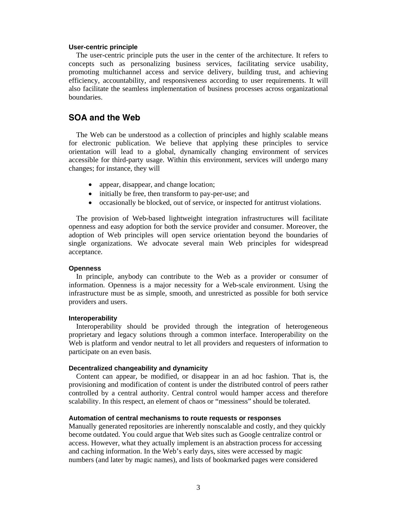#### **User-centric principle**

The user-centric principle puts the user in the center of the architecture. It refers to concepts such as personalizing business services, facilitating service usability, promoting multichannel access and service delivery, building trust, and achieving efficiency, accountability, and responsiveness according to user requirements. It will also facilitate the seamless implementation of business processes across organizational boundaries.

## **SOA and the Web**

The Web can be understood as a collection of principles and highly scalable means for electronic publication. We believe that applying these principles to service orientation will lead to a global, dynamically changing environment of services accessible for third-party usage. Within this environment, services will undergo many changes; for instance, they will

- appear, disappear, and change location;
- initially be free, then transform to pay-per-use; and
- occasionally be blocked, out of service, or inspected for antitrust violations.

The provision of Web-based lightweight integration infrastructures will facilitate openness and easy adoption for both the service provider and consumer. Moreover, the adoption of Web principles will open service orientation beyond the boundaries of single organizations. We advocate several main Web principles for widespread acceptance.

#### **Openness**

In principle, anybody can contribute to the Web as a provider or consumer of information. Openness is a major necessity for a Web-scale environment. Using the infrastructure must be as simple, smooth, and unrestricted as possible for both service providers and users.

#### **Interoperability**

Interoperability should be provided through the integration of heterogeneous proprietary and legacy solutions through a common interface. Interoperability on the Web is platform and vendor neutral to let all providers and requesters of information to participate on an even basis.

#### **Decentralized changeability and dynamicity**

Content can appear, be modified, or disappear in an ad hoc fashion. That is, the provisioning and modification of content is under the distributed control of peers rather controlled by a central authority. Central control would hamper access and therefore scalability. In this respect, an element of chaos or "messiness" should be tolerated.

#### **Automation of central mechanisms to route requests or responses**

Manually generated repositories are inherently nonscalable and costly, and they quickly become outdated. You could argue that Web sites such as Google centralize control or access. However, what they actually implement is an abstraction process for accessing and caching information. In the Web's early days, sites were accessed by magic numbers (and later by magic names), and lists of bookmarked pages were considered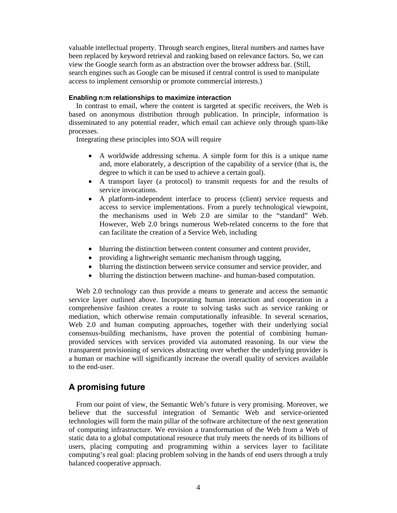valuable intellectual property. Through search engines, literal numbers and names have been replaced by keyword retrieval and ranking based on relevance factors. So, we can view the Google search form as an abstraction over the browser address bar. (Still, search engines such as Google can be misused if central control is used to manipulate access to implement censorship or promote commercial interests.)

#### **Enabling n:m relationships to maximize interaction**

In contrast to email, where the content is targeted at specific receivers, the Web is based on anonymous distribution through publication. In principle, information is disseminated to any potential reader, which email can achieve only through spam-like processes.

Integrating these principles into SOA will require

- A worldwide addressing schema. A simple form for this is a unique name and, more elaborately, a description of the capability of a service (that is, the degree to which it can be used to achieve a certain goal).
- A transport layer (a protocol) to transmit requests for and the results of service invocations.
- A platform-independent interface to process (client) service requests and access to service implementations. From a purely technological viewpoint, the mechanisms used in Web 2.0 are similar to the "standard" Web. However, Web 2.0 brings numerous Web-related concerns to the fore that can facilitate the creation of a Service Web, including
- blurring the distinction between content consumer and content provider,
- providing a lightweight semantic mechanism through tagging,
- blurring the distinction between service consumer and service provider, and
- blurring the distinction between machine- and human-based computation.

Web 2.0 technology can thus provide a means to generate and access the semantic service layer outlined above. Incorporating human interaction and cooperation in a comprehensive fashion creates a route to solving tasks such as service ranking or mediation, which otherwise remain computationally infeasible. In several scenarios, Web 2.0 and human computing approaches, together with their underlying social consensus-building mechanisms, have proven the potential of combining humanprovided services with services provided via automated reasoning. In our view the transparent provisioning of services abstracting over whether the underlying provider is a human or machine will significantly increase the overall quality of services available to the end-user.

## **A promising future**

From our point of view, the Semantic Web's future is very promising. Moreover, we believe that the successful integration of Semantic Web and service-oriented technologies will form the main pillar of the software architecture of the next generation of computing infrastructure. We envision a transformation of the Web from a Web of static data to a global computational resource that truly meets the needs of its billions of users, placing computing and programming within a services layer to facilitate computing's real goal: placing problem solving in the hands of end users through a truly balanced cooperative approach.